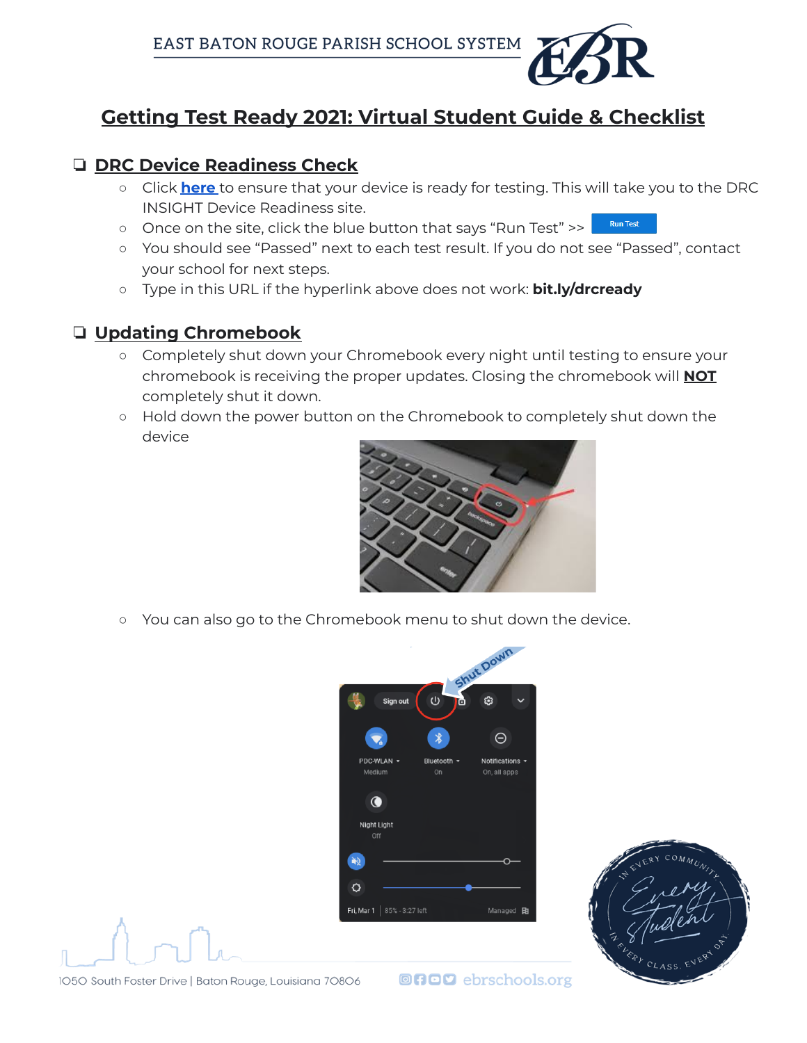

## **Getting Test Ready 2021: Virtual Student Guide & Checklist**

## ❏ **DRC Device Readiness Check**

- Click **[here](https://www.drcedirect.com/all/eca-readiness-ui/)** to ensure that your device is ready for testing. This will take you to the DRC INSIGHT Device Readiness site.
- **Run Test** ○ Once on the site, click the blue button that says "Run Test" >>
- You should see "Passed" next to each test result. If you do not see "Passed", contact your school for next steps.
- Type in this URL if the hyperlink above does not work: **bit.ly/drcready**

## ❏ **Updating Chromebook**

- Completely shut down your Chromebook every night until testing to ensure your chromebook is receiving the proper updates. Closing the chromebook will **NOT** completely shut it down.
- Hold down the power button on the Chromebook to completely shut down the device



○ You can also go to the Chromebook menu to shut down the device.





1050 South Foster Drive | Baton Rouge, Louisiana 70806

**@NOD** ebrschools.org